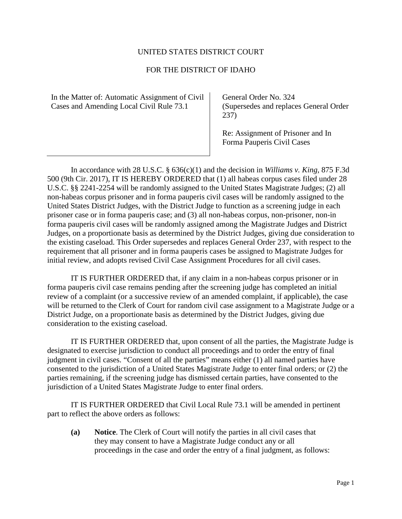## UNITED STATES DISTRICT COURT

## FOR THE DISTRICT OF IDAHO

In the Matter of: Automatic Assignment of Civil Cases and Amending Local Civil Rule 73.1

General Order No. 324 (Supersedes and replaces General Order 237)

Re: Assignment of Prisoner and In Forma Pauperis Civil Cases

In accordance with 28 U.S.C. § 636(c)(1) and the decision in *Williams v. King*, 875 F.3d 500 (9th Cir. 2017), IT IS HEREBY ORDERED that (1) all habeas corpus cases filed under 28 U.S.C. §§ 2241-2254 will be randomly assigned to the United States Magistrate Judges; (2) all non-habeas corpus prisoner and in forma pauperis civil cases will be randomly assigned to the United States District Judges, with the District Judge to function as a screening judge in each prisoner case or in forma pauperis case; and (3) all non-habeas corpus, non-prisoner, non-in forma pauperis civil cases will be randomly assigned among the Magistrate Judges and District Judges, on a proportionate basis as determined by the District Judges, giving due consideration to the existing caseload. This Order supersedes and replaces General Order 237, with respect to the requirement that all prisoner and in forma pauperis cases be assigned to Magistrate Judges for initial review, and adopts revised Civil Case Assignment Procedures for all civil cases.

IT IS FURTHER ORDERED that, if any claim in a non-habeas corpus prisoner or in forma pauperis civil case remains pending after the screening judge has completed an initial review of a complaint (or a successive review of an amended complaint, if applicable), the case will be returned to the Clerk of Court for random civil case assignment to a Magistrate Judge or a District Judge, on a proportionate basis as determined by the District Judges, giving due consideration to the existing caseload.

IT IS FURTHER ORDERED that, upon consent of all the parties, the Magistrate Judge is designated to exercise jurisdiction to conduct all proceedings and to order the entry of final judgment in civil cases. "Consent of all the parties" means either (1) all named parties have consented to the jurisdiction of a United States Magistrate Judge to enter final orders; or (2) the parties remaining, if the screening judge has dismissed certain parties, have consented to the jurisdiction of a United States Magistrate Judge to enter final orders.

IT IS FURTHER ORDERED that Civil Local Rule 73.1 will be amended in pertinent part to reflect the above orders as follows:

**(a) Notice**. The Clerk of Court will notify the parties in all civil cases that they may consent to have a Magistrate Judge conduct any or all proceedings in the case and order the entry of a final judgment, as follows: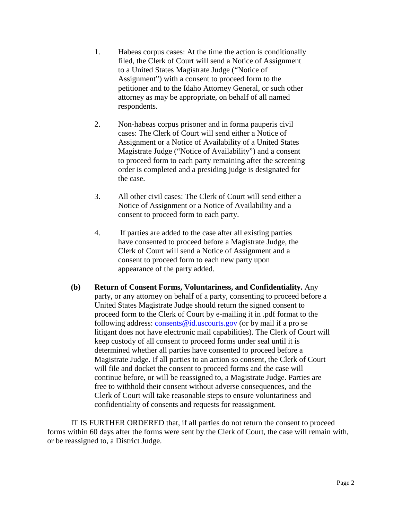- 1. Habeas corpus cases: At the time the action is conditionally filed, the Clerk of Court will send a Notice of Assignment to a United States Magistrate Judge ("Notice of Assignment") with a consent to proceed form to the petitioner and to the Idaho Attorney General, or such other attorney as may be appropriate, on behalf of all named respondents.
- 2. Non-habeas corpus prisoner and in forma pauperis civil cases: The Clerk of Court will send either a Notice of Assignment or a Notice of Availability of a United States Magistrate Judge ("Notice of Availability") and a consent to proceed form to each party remaining after the screening order is completed and a presiding judge is designated for the case.
- 3. All other civil cases: The Clerk of Court will send either a Notice of Assignment or a Notice of Availability and a consent to proceed form to each party.
- 4. If parties are added to the case after all existing parties have consented to proceed before a Magistrate Judge, the Clerk of Court will send a Notice of Assignment and a consent to proceed form to each new party upon appearance of the party added.
- **(b) Return of Consent Forms, Voluntariness, and Confidentiality.** Any party, or any attorney on behalf of a party, consenting to proceed before a United States Magistrate Judge should return the signed consent to proceed form to the Clerk of Court by e-mailing it in .pdf format to the following address: consents@id.uscourts.gov (or by mail if a pro se litigant does not have electronic mail capabilities). The Clerk of Court will keep custody of all consent to proceed forms under seal until it is determined whether all parties have consented to proceed before a Magistrate Judge. If all parties to an action so consent, the Clerk of Court will file and docket the consent to proceed forms and the case will continue before, or will be reassigned to, a Magistrate Judge. Parties are free to withhold their consent without adverse consequences, and the Clerk of Court will take reasonable steps to ensure voluntariness and confidentiality of consents and requests for reassignment.

IT IS FURTHER ORDERED that, if all parties do not return the consent to proceed forms within 60 days after the forms were sent by the Clerk of Court, the case will remain with, or be reassigned to, a District Judge.